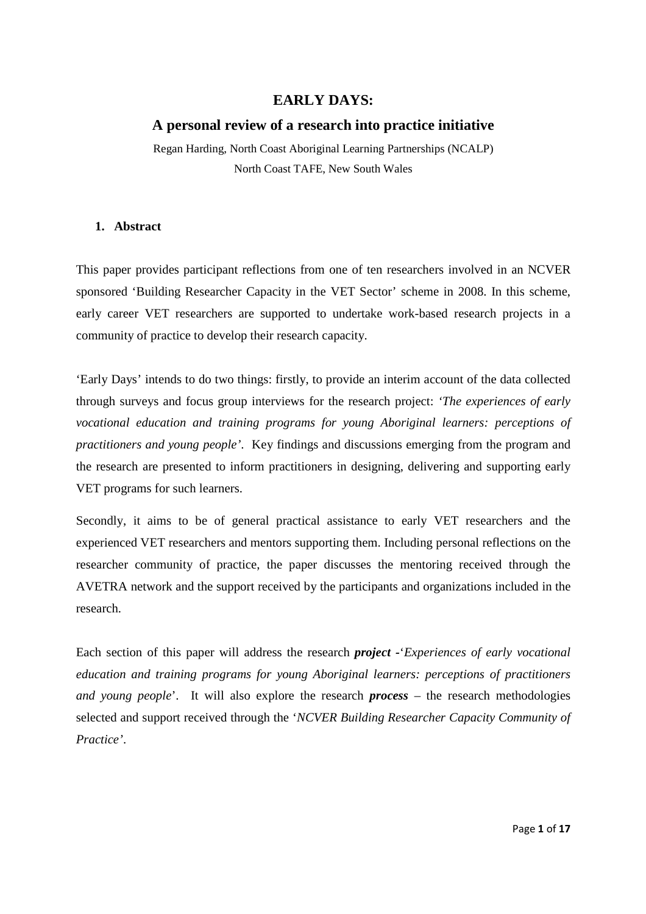# **EARLY DAYS:**

# **A personal review of a research into practice initiative**

Regan Harding, North Coast Aboriginal Learning Partnerships (NCALP) North Coast TAFE, New South Wales

### **1. Abstract**

This paper provides participant reflections from one of ten researchers involved in an NCVER sponsored 'Building Researcher Capacity in the VET Sector' scheme in 2008. In this scheme, early career VET researchers are supported to undertake work-based research projects in a community of practice to develop their research capacity.

'Early Days' intends to do two things: firstly, to provide an interim account of the data collected through surveys and focus group interviews for the research project: *'The experiences of early vocational education and training programs for young Aboriginal learners: perceptions of practitioners and young people'*. Key findings and discussions emerging from the program and the research are presented to inform practitioners in designing, delivering and supporting early VET programs for such learners.

Secondly, it aims to be of general practical assistance to early VET researchers and the experienced VET researchers and mentors supporting them. Including personal reflections on the researcher community of practice, the paper discusses the mentoring received through the AVETRA network and the support received by the participants and organizations included in the research.

Each section of this paper will address the research *project -*'*Experiences of early vocational education and training programs for young Aboriginal learners: perceptions of practitioners and young people*'. It will also explore the research *process* – the research methodologies selected and support received through the '*NCVER Building Researcher Capacity Community of Practice'*.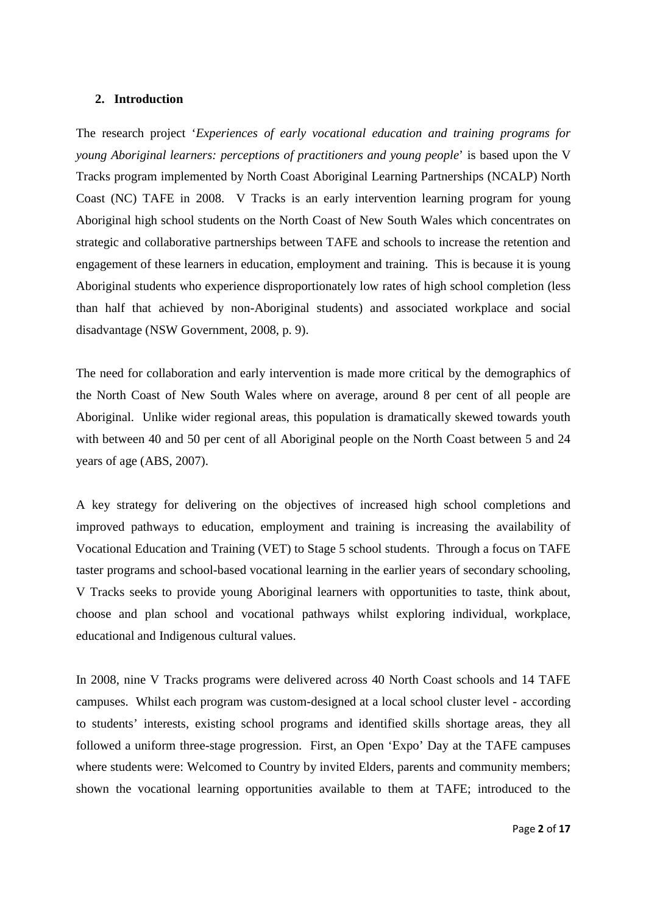#### **2. Introduction**

The research project '*Experiences of early vocational education and training programs for young Aboriginal learners: perceptions of practitioners and young people*' is based upon the V Tracks program implemented by North Coast Aboriginal Learning Partnerships (NCALP) North Coast (NC) TAFE in 2008. V Tracks is an early intervention learning program for young Aboriginal high school students on the North Coast of New South Wales which concentrates on strategic and collaborative partnerships between TAFE and schools to increase the retention and engagement of these learners in education, employment and training. This is because it is young Aboriginal students who experience disproportionately low rates of high school completion (less than half that achieved by non-Aboriginal students) and associated workplace and social disadvantage (NSW Government, 2008, p. 9).

The need for collaboration and early intervention is made more critical by the demographics of the North Coast of New South Wales where on average, around 8 per cent of all people are Aboriginal. Unlike wider regional areas, this population is dramatically skewed towards youth with between 40 and 50 per cent of all Aboriginal people on the North Coast between 5 and 24 years of age (ABS, 2007).

A key strategy for delivering on the objectives of increased high school completions and improved pathways to education, employment and training is increasing the availability of Vocational Education and Training (VET) to Stage 5 school students. Through a focus on TAFE taster programs and school-based vocational learning in the earlier years of secondary schooling, V Tracks seeks to provide young Aboriginal learners with opportunities to taste, think about, choose and plan school and vocational pathways whilst exploring individual, workplace, educational and Indigenous cultural values.

In 2008, nine V Tracks programs were delivered across 40 North Coast schools and 14 TAFE campuses. Whilst each program was custom-designed at a local school cluster level - according to students' interests, existing school programs and identified skills shortage areas, they all followed a uniform three-stage progression. First, an Open 'Expo' Day at the TAFE campuses where students were: Welcomed to Country by invited Elders, parents and community members; shown the vocational learning opportunities available to them at TAFE; introduced to the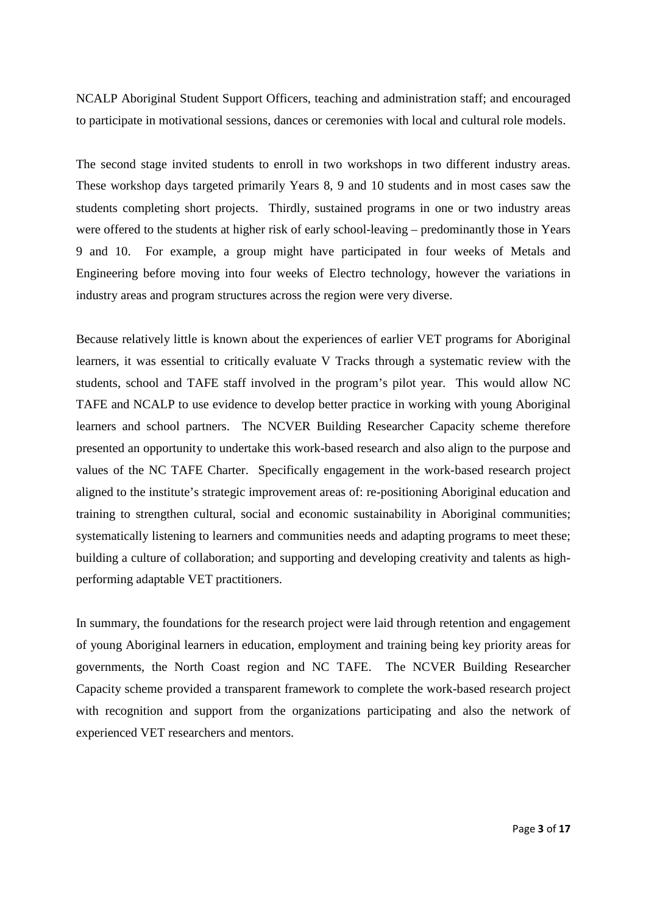NCALP Aboriginal Student Support Officers, teaching and administration staff; and encouraged to participate in motivational sessions, dances or ceremonies with local and cultural role models.

The second stage invited students to enroll in two workshops in two different industry areas. These workshop days targeted primarily Years 8, 9 and 10 students and in most cases saw the students completing short projects. Thirdly, sustained programs in one or two industry areas were offered to the students at higher risk of early school-leaving – predominantly those in Years 9 and 10. For example, a group might have participated in four weeks of Metals and Engineering before moving into four weeks of Electro technology, however the variations in industry areas and program structures across the region were very diverse.

Because relatively little is known about the experiences of earlier VET programs for Aboriginal learners, it was essential to critically evaluate V Tracks through a systematic review with the students, school and TAFE staff involved in the program's pilot year. This would allow NC TAFE and NCALP to use evidence to develop better practice in working with young Aboriginal learners and school partners. The NCVER Building Researcher Capacity scheme therefore presented an opportunity to undertake this work-based research and also align to the purpose and values of the NC TAFE Charter. Specifically engagement in the work-based research project aligned to the institute's strategic improvement areas of: re-positioning Aboriginal education and training to strengthen cultural, social and economic sustainability in Aboriginal communities; systematically listening to learners and communities needs and adapting programs to meet these; building a culture of collaboration; and supporting and developing creativity and talents as highperforming adaptable VET practitioners.

In summary, the foundations for the research project were laid through retention and engagement of young Aboriginal learners in education, employment and training being key priority areas for governments, the North Coast region and NC TAFE. The NCVER Building Researcher Capacity scheme provided a transparent framework to complete the work-based research project with recognition and support from the organizations participating and also the network of experienced VET researchers and mentors.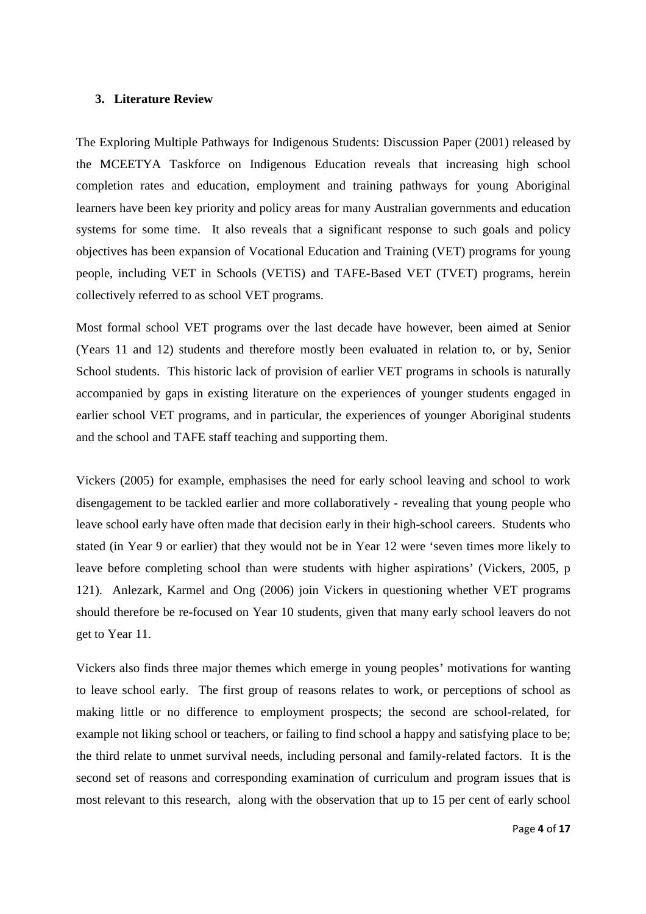#### **3. Literature Review**

The Exploring Multiple Pathways for Indigenous Students: Discussion Paper (2001) released by the MCEETYA Taskforce on Indigenous Education reveals that increasing high school completion rates and education, employment and training pathways for young Aboriginal learners have been key priority and policy areas for many Australian governments and education systems for some time. It also reveals that a significant response to such goals and policy objectives has been expansion of Vocational Education and Training (VET) programs for young people, including VET in Schools (VETiS) and TAFE-Based VET (TVET) programs, herein collectively referred to as school VET programs.

Most formal school VET programs over the last decade have however, been aimed at Senior (Years 11 and 12) students and therefore mostly been evaluated in relation to, or by, Senior School students. This historic lack of provision of earlier VET programs in schools is naturally accompanied by gaps in existing literature on the experiences of younger students engaged in earlier school VET programs, and in particular, the experiences of younger Aboriginal students and the school and TAFE staff teaching and supporting them.

Vickers (2005) for example, emphasises the need for early school leaving and school to work disengagement to be tackled earlier and more collaboratively - revealing that young people who leave school early have often made that decision early in their high-school careers. Students who stated (in Year 9 or earlier) that they would not be in Year 12 were 'seven times more likely to leave before completing school than were students with higher aspirations' (Vickers, 2005, p 121). Anlezark, Karmel and Ong (2006) join Vickers in questioning whether VET programs should therefore be re-focused on Year 10 students, given that many early school leavers do not get to Year 11.

Vickers also finds three major themes which emerge in young peoples' motivations for wanting to leave school early. The first group of reasons relates to work, or perceptions of school as making little or no difference to employment prospects; the second are school-related, for example not liking school or teachers, or failing to find school a happy and satisfying place to be; the third relate to unmet survival needs, including personal and family-related factors. It is the second set of reasons and corresponding examination of curriculum and program issues that is most relevant to this research, along with the observation that up to 15 per cent of early school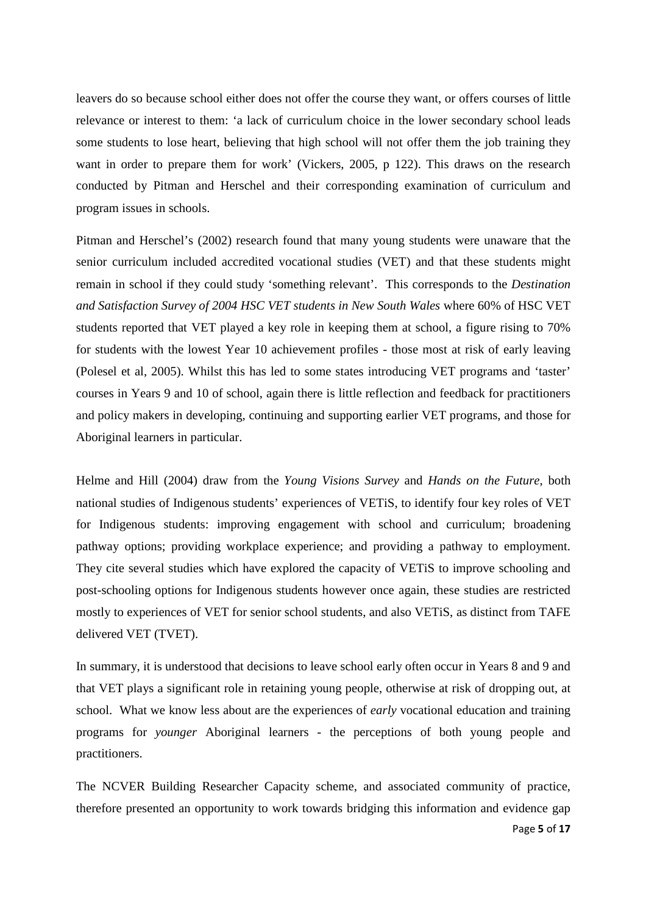leavers do so because school either does not offer the course they want, or offers courses of little relevance or interest to them: 'a lack of curriculum choice in the lower secondary school leads some students to lose heart, believing that high school will not offer them the job training they want in order to prepare them for work' (Vickers, 2005, p 122). This draws on the research conducted by Pitman and Herschel and their corresponding examination of curriculum and program issues in schools.

Pitman and Herschel's (2002) research found that many young students were unaware that the senior curriculum included accredited vocational studies (VET) and that these students might remain in school if they could study 'something relevant'. This corresponds to the *Destination and Satisfaction Survey of 2004 HSC VET students in New South Wales* where 60% of HSC VET students reported that VET played a key role in keeping them at school, a figure rising to 70% for students with the lowest Year 10 achievement profiles - those most at risk of early leaving (Polesel et al, 2005). Whilst this has led to some states introducing VET programs and 'taster' courses in Years 9 and 10 of school, again there is little reflection and feedback for practitioners and policy makers in developing, continuing and supporting earlier VET programs, and those for Aboriginal learners in particular.

Helme and Hill (2004) draw from the *Young Visions Survey* and *Hands on the Future*, both national studies of Indigenous students' experiences of VETiS, to identify four key roles of VET for Indigenous students: improving engagement with school and curriculum; broadening pathway options; providing workplace experience; and providing a pathway to employment. They cite several studies which have explored the capacity of VETiS to improve schooling and post-schooling options for Indigenous students however once again, these studies are restricted mostly to experiences of VET for senior school students, and also VETiS, as distinct from TAFE delivered VET (TVET).

In summary, it is understood that decisions to leave school early often occur in Years 8 and 9 and that VET plays a significant role in retaining young people, otherwise at risk of dropping out, at school. What we know less about are the experiences of *early* vocational education and training programs for *younger* Aboriginal learners - the perceptions of both young people and practitioners.

The NCVER Building Researcher Capacity scheme, and associated community of practice, therefore presented an opportunity to work towards bridging this information and evidence gap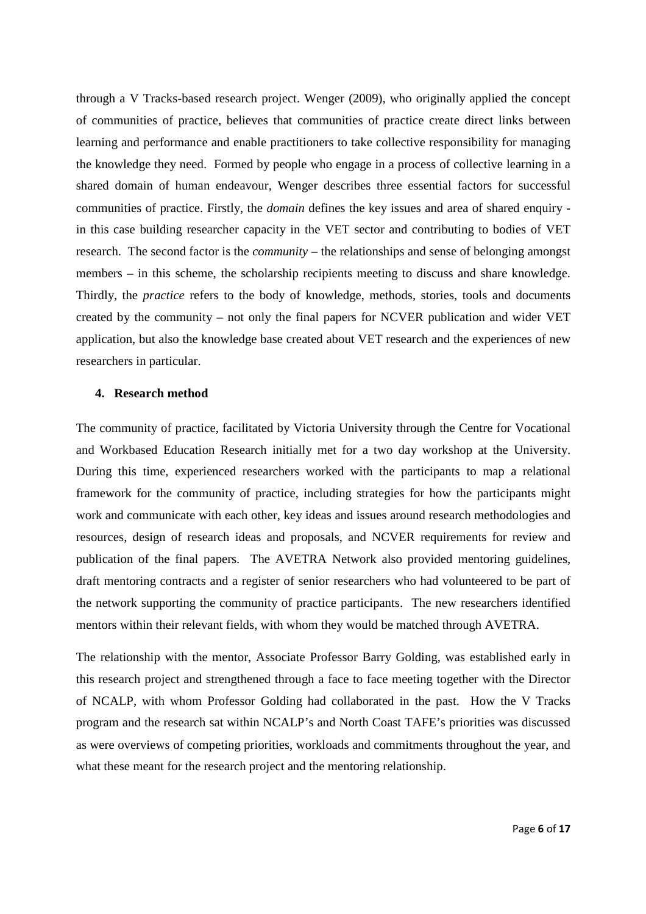through a V Tracks-based research project. Wenger (2009), who originally applied the concept of communities of practice, believes that communities of practice create direct links between learning and performance and enable practitioners to take collective responsibility for managing the knowledge they need. Formed by people who engage in a process of collective learning in a shared domain of human endeavour, Wenger describes three essential factors for successful communities of practice. Firstly, the *domain* defines the key issues and area of shared enquiry in this case building researcher capacity in the VET sector and contributing to bodies of VET research. The second factor is the *community* – the relationships and sense of belonging amongst members – in this scheme, the scholarship recipients meeting to discuss and share knowledge. Thirdly, the *practice* refers to the body of knowledge, methods, stories, tools and documents created by the community – not only the final papers for NCVER publication and wider VET application, but also the knowledge base created about VET research and the experiences of new researchers in particular.

#### **4. Research method**

The community of practice, facilitated by Victoria University through the Centre for Vocational and Workbased Education Research initially met for a two day workshop at the University. During this time, experienced researchers worked with the participants to map a relational framework for the community of practice, including strategies for how the participants might work and communicate with each other, key ideas and issues around research methodologies and resources, design of research ideas and proposals, and NCVER requirements for review and publication of the final papers. The AVETRA Network also provided mentoring guidelines, draft mentoring contracts and a register of senior researchers who had volunteered to be part of the network supporting the community of practice participants. The new researchers identified mentors within their relevant fields, with whom they would be matched through AVETRA.

The relationship with the mentor, Associate Professor Barry Golding, was established early in this research project and strengthened through a face to face meeting together with the Director of NCALP, with whom Professor Golding had collaborated in the past. How the V Tracks program and the research sat within NCALP's and North Coast TAFE's priorities was discussed as were overviews of competing priorities, workloads and commitments throughout the year, and what these meant for the research project and the mentoring relationship.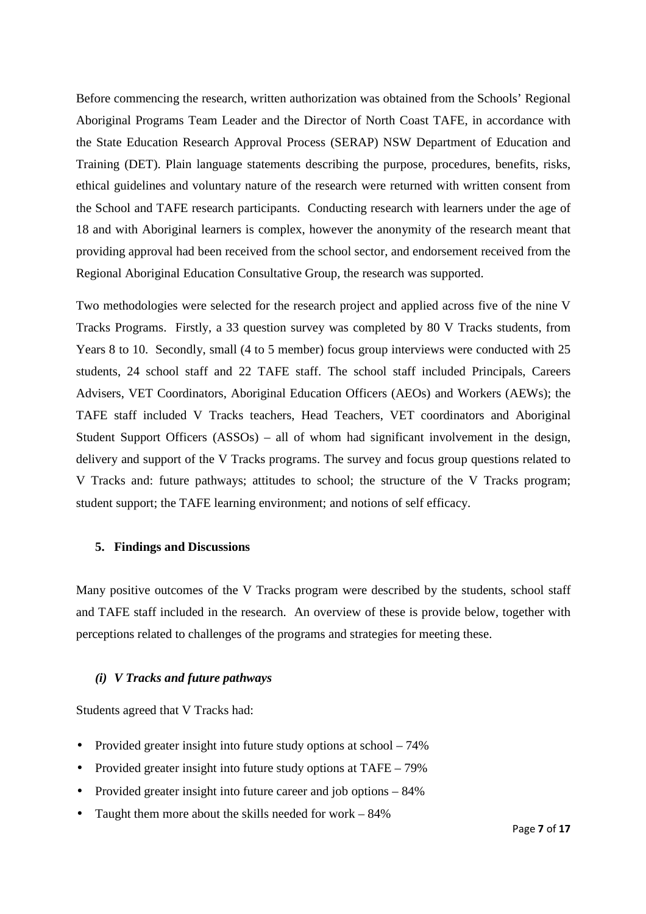Before commencing the research, written authorization was obtained from the Schools' Regional Aboriginal Programs Team Leader and the Director of North Coast TAFE, in accordance with the State Education Research Approval Process (SERAP) NSW Department of Education and Training (DET). Plain language statements describing the purpose, procedures, benefits, risks, ethical guidelines and voluntary nature of the research were returned with written consent from the School and TAFE research participants. Conducting research with learners under the age of 18 and with Aboriginal learners is complex, however the anonymity of the research meant that providing approval had been received from the school sector, and endorsement received from the Regional Aboriginal Education Consultative Group, the research was supported.

Two methodologies were selected for the research project and applied across five of the nine V Tracks Programs. Firstly, a 33 question survey was completed by 80 V Tracks students, from Years 8 to 10. Secondly, small (4 to 5 member) focus group interviews were conducted with 25 students, 24 school staff and 22 TAFE staff. The school staff included Principals, Careers Advisers, VET Coordinators, Aboriginal Education Officers (AEOs) and Workers (AEWs); the TAFE staff included V Tracks teachers, Head Teachers, VET coordinators and Aboriginal Student Support Officers (ASSOs) – all of whom had significant involvement in the design, delivery and support of the V Tracks programs. The survey and focus group questions related to V Tracks and: future pathways; attitudes to school; the structure of the V Tracks program; student support; the TAFE learning environment; and notions of self efficacy.

#### **5. Findings and Discussions**

Many positive outcomes of the V Tracks program were described by the students, school staff and TAFE staff included in the research. An overview of these is provide below, together with perceptions related to challenges of the programs and strategies for meeting these.

### *(i) V Tracks and future pathways*

Students agreed that V Tracks had:

- Provided greater insight into future study options at school 74%
- Provided greater insight into future study options at TAFE 79%
- Provided greater insight into future career and job options 84%
- Taught them more about the skills needed for work 84%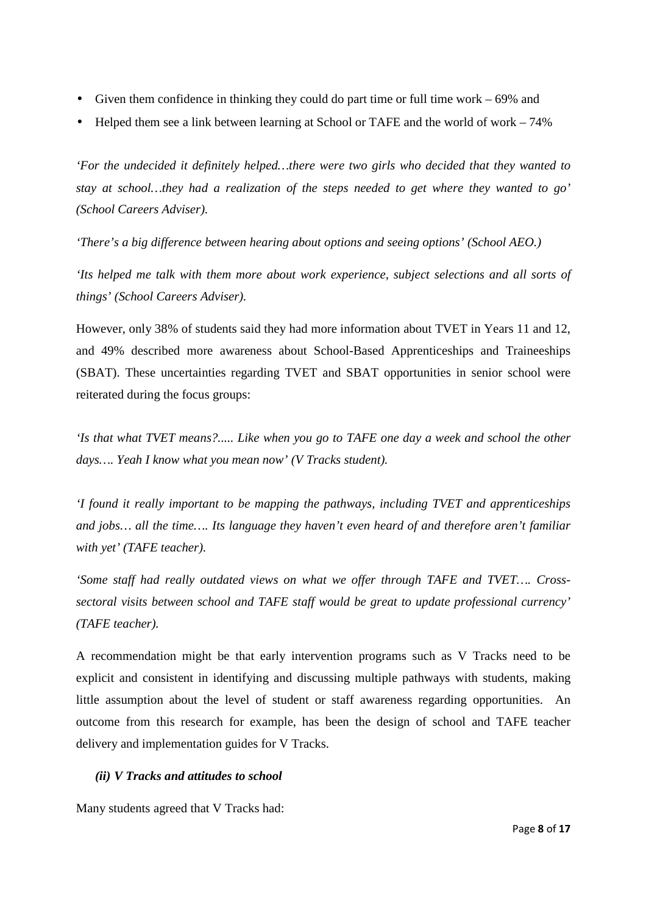- Given them confidence in thinking they could do part time or full time work 69% and
- Helped them see a link between learning at School or TAFE and the world of work 74%

*'For the undecided it definitely helped…there were two girls who decided that they wanted to stay at school…they had a realization of the steps needed to get where they wanted to go' (School Careers Adviser).* 

*'There's a big difference between hearing about options and seeing options' (School AEO.)* 

*'Its helped me talk with them more about work experience, subject selections and all sorts of things' (School Careers Adviser).*

However, only 38% of students said they had more information about TVET in Years 11 and 12, and 49% described more awareness about School-Based Apprenticeships and Traineeships (SBAT). These uncertainties regarding TVET and SBAT opportunities in senior school were reiterated during the focus groups:

*'Is that what TVET means?..... Like when you go to TAFE one day a week and school the other days…. Yeah I know what you mean now' (V Tracks student).* 

*'I found it really important to be mapping the pathways, including TVET and apprenticeships and jobs… all the time…. Its language they haven't even heard of and therefore aren't familiar with yet' (TAFE teacher).* 

*'Some staff had really outdated views on what we offer through TAFE and TVET…. Crosssectoral visits between school and TAFE staff would be great to update professional currency' (TAFE teacher).* 

A recommendation might be that early intervention programs such as V Tracks need to be explicit and consistent in identifying and discussing multiple pathways with students, making little assumption about the level of student or staff awareness regarding opportunities. An outcome from this research for example, has been the design of school and TAFE teacher delivery and implementation guides for V Tracks.

## *(ii) V Tracks and attitudes to school*

Many students agreed that V Tracks had: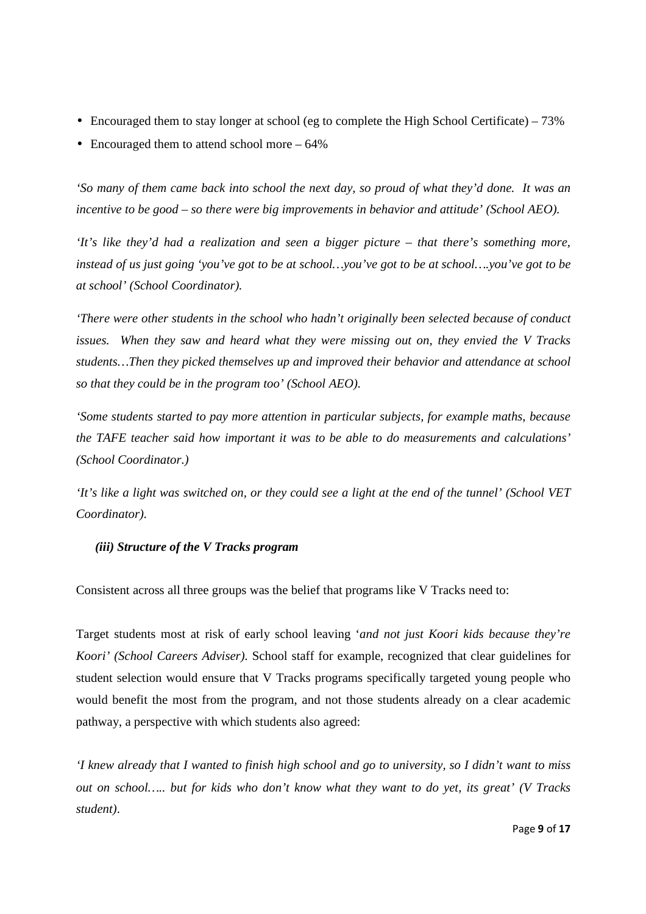- Encouraged them to stay longer at school (eg to complete the High School Certificate) 73%
- Encouraged them to attend school more 64%

*'So many of them came back into school the next day, so proud of what they'd done. It was an incentive to be good – so there were big improvements in behavior and attitude' (School AEO).* 

*'It's like they'd had a realization and seen a bigger picture – that there's something more, instead of us just going 'you've got to be at school…you've got to be at school….you've got to be at school' (School Coordinator).* 

*'There were other students in the school who hadn't originally been selected because of conduct issues. When they saw and heard what they were missing out on, they envied the V Tracks students…Then they picked themselves up and improved their behavior and attendance at school so that they could be in the program too' (School AEO).* 

*'Some students started to pay more attention in particular subjects, for example maths, because the TAFE teacher said how important it was to be able to do measurements and calculations' (School Coordinator.)* 

*'It's like a light was switched on, or they could see a light at the end of the tunnel' (School VET Coordinator).* 

## *(iii) Structure of the V Tracks program*

Consistent across all three groups was the belief that programs like V Tracks need to:

Target students most at risk of early school leaving '*and not just Koori kids because they're Koori' (School Careers Adviser).* School staff for example, recognized that clear guidelines for student selection would ensure that V Tracks programs specifically targeted young people who would benefit the most from the program, and not those students already on a clear academic pathway, a perspective with which students also agreed:

*'I knew already that I wanted to finish high school and go to university, so I didn't want to miss out on school….. but for kids who don't know what they want to do yet, its great' (V Tracks student)*.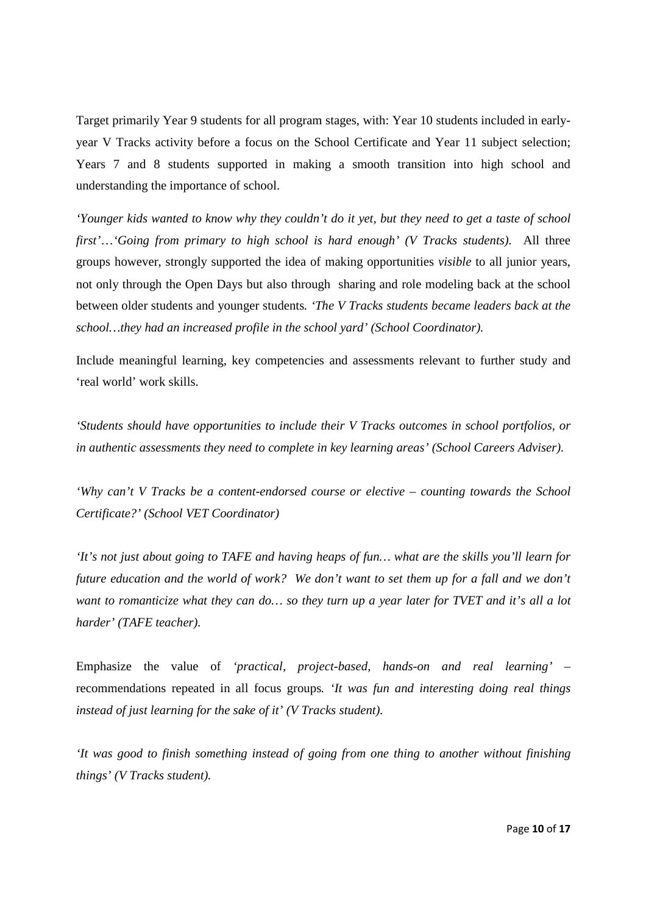Target primarily Year 9 students for all program stages, with: Year 10 students included in earlyyear V Tracks activity before a focus on the School Certificate and Year 11 subject selection; Years 7 and 8 students supported in making a smooth transition into high school and understanding the importance of school.

*'Younger kids wanted to know why they couldn't do it yet, but they need to get a taste of school first'*…*'Going from primary to high school is hard enough' (V Tracks students).* All three groups however, strongly supported the idea of making opportunities *visible* to all junior years, not only through the Open Days but also through sharing and role modeling back at the school between older students and younger students*. 'The V Tracks students became leaders back at the school…they had an increased profile in the school yard' (School Coordinator).*

Include meaningful learning, key competencies and assessments relevant to further study and 'real world' work skills.

*'Students should have opportunities to include their V Tracks outcomes in school portfolios, or in authentic assessments they need to complete in key learning areas' (School Careers Adviser).* 

*'Why can't V Tracks be a content-endorsed course or elective – counting towards the School Certificate?' (School VET Coordinator)* 

*'It's not just about going to TAFE and having heaps of fun… what are the skills you'll learn for future education and the world of work? We don't want to set them up for a fall and we don't want to romanticize what they can do… so they turn up a year later for TVET and it's all a lot harder' (TAFE teacher).* 

Emphasize the value of *'practical, project-based, hands-on and real learning' –*  recommendations repeated in all focus groups*. 'It was fun and interesting doing real things instead of just learning for the sake of it' (V Tracks student).* 

*'It was good to finish something instead of going from one thing to another without finishing things' (V Tracks student).*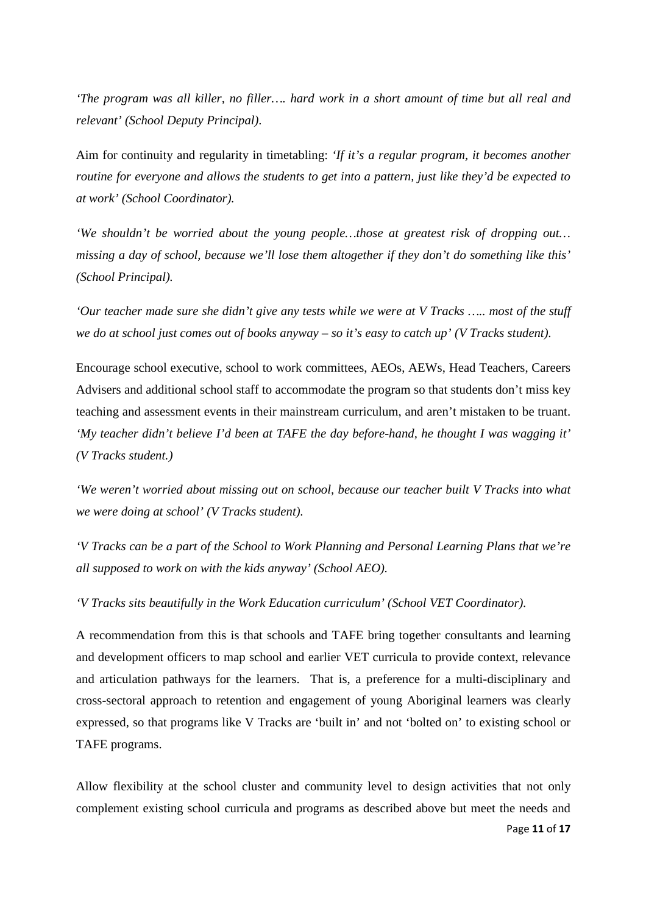*'The program was all killer, no filler…. hard work in a short amount of time but all real and relevant' (School Deputy Principal).* 

Aim for continuity and regularity in timetabling: *'If it's a regular program, it becomes another routine for everyone and allows the students to get into a pattern, just like they'd be expected to at work' (School Coordinator).* 

*'We shouldn't be worried about the young people…those at greatest risk of dropping out… missing a day of school, because we'll lose them altogether if they don't do something like this' (School Principal).* 

*'Our teacher made sure she didn't give any tests while we were at V Tracks ….. most of the stuff we do at school just comes out of books anyway – so it's easy to catch up' (V Tracks student).* 

Encourage school executive, school to work committees, AEOs, AEWs, Head Teachers, Careers Advisers and additional school staff to accommodate the program so that students don't miss key teaching and assessment events in their mainstream curriculum, and aren't mistaken to be truant. *'My teacher didn't believe I'd been at TAFE the day before-hand, he thought I was wagging it' (V Tracks student.)* 

*'We weren't worried about missing out on school, because our teacher built V Tracks into what we were doing at school' (V Tracks student).* 

*'V Tracks can be a part of the School to Work Planning and Personal Learning Plans that we're all supposed to work on with the kids anyway' (School AEO).* 

*'V Tracks sits beautifully in the Work Education curriculum' (School VET Coordinator).* 

A recommendation from this is that schools and TAFE bring together consultants and learning and development officers to map school and earlier VET curricula to provide context, relevance and articulation pathways for the learners. That is, a preference for a multi-disciplinary and cross-sectoral approach to retention and engagement of young Aboriginal learners was clearly expressed, so that programs like V Tracks are 'built in' and not 'bolted on' to existing school or TAFE programs.

Allow flexibility at the school cluster and community level to design activities that not only complement existing school curricula and programs as described above but meet the needs and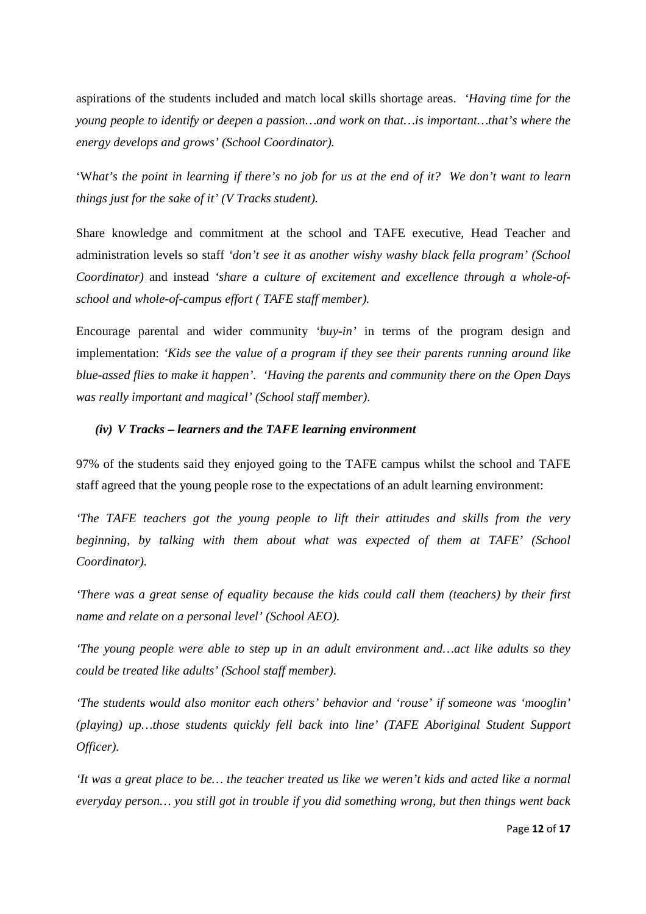aspirations of the students included and match local skills shortage areas. *'Having time for the young people to identify or deepen a passion…and work on that…is important…that's where the energy develops and grows' (School Coordinator).* 

'W*hat's the point in learning if there's no job for us at the end of it? We don't want to learn things just for the sake of it' (V Tracks student).*

Share knowledge and commitment at the school and TAFE executive, Head Teacher and administration levels so staff *'don't see it as another wishy washy black fella program' (School Coordinator)* and instead *'share a culture of excitement and excellence through a whole-ofschool and whole-of-campus effort ( TAFE staff member).* 

Encourage parental and wider community *'buy-in'* in terms of the program design and implementation: *'Kids see the value of a program if they see their parents running around like blue-assed flies to make it happen'. 'Having the parents and community there on the Open Days was really important and magical' (School staff member)*.

#### *(iv) V Tracks – learners and the TAFE learning environment*

97% of the students said they enjoyed going to the TAFE campus whilst the school and TAFE staff agreed that the young people rose to the expectations of an adult learning environment:

*'The TAFE teachers got the young people to lift their attitudes and skills from the very beginning, by talking with them about what was expected of them at TAFE' (School Coordinator).* 

*'There was a great sense of equality because the kids could call them (teachers) by their first name and relate on a personal level' (School AEO).* 

*'The young people were able to step up in an adult environment and…act like adults so they could be treated like adults' (School staff member).* 

*'The students would also monitor each others' behavior and 'rouse' if someone was 'mooglin' (playing) up…those students quickly fell back into line' (TAFE Aboriginal Student Support Officer).* 

*'It was a great place to be… the teacher treated us like we weren't kids and acted like a normal everyday person… you still got in trouble if you did something wrong, but then things went back*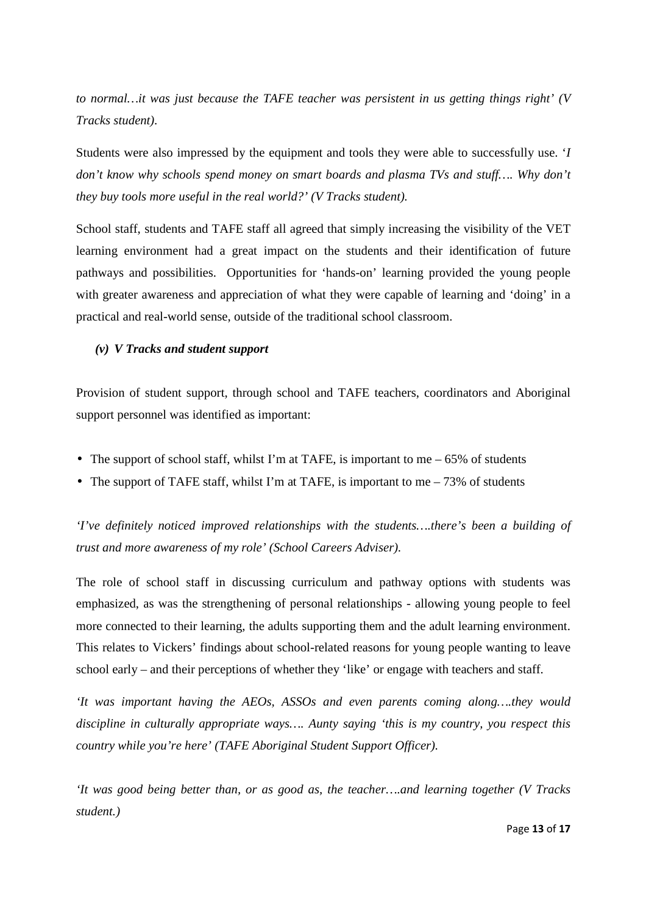*to normal…it was just because the TAFE teacher was persistent in us getting things right' (V Tracks student).* 

Students were also impressed by the equipment and tools they were able to successfully use. '*I don't know why schools spend money on smart boards and plasma TVs and stuff…. Why don't they buy tools more useful in the real world?' (V Tracks student).* 

School staff, students and TAFE staff all agreed that simply increasing the visibility of the VET learning environment had a great impact on the students and their identification of future pathways and possibilities. Opportunities for 'hands-on' learning provided the young people with greater awareness and appreciation of what they were capable of learning and 'doing' in a practical and real-world sense, outside of the traditional school classroom.

### *(v) V Tracks and student support*

Provision of student support, through school and TAFE teachers, coordinators and Aboriginal support personnel was identified as important:

- The support of school staff, whilst I'm at TAFE, is important to me  $-65\%$  of students
- The support of TAFE staff, whilst I'm at TAFE, is important to me  $-73\%$  of students

*'I've definitely noticed improved relationships with the students….there's been a building of trust and more awareness of my role' (School Careers Adviser).* 

The role of school staff in discussing curriculum and pathway options with students was emphasized, as was the strengthening of personal relationships - allowing young people to feel more connected to their learning, the adults supporting them and the adult learning environment. This relates to Vickers' findings about school-related reasons for young people wanting to leave school early – and their perceptions of whether they 'like' or engage with teachers and staff.

*'It was important having the AEOs, ASSOs and even parents coming along….they would discipline in culturally appropriate ways…. Aunty saying 'this is my country, you respect this country while you're here' (TAFE Aboriginal Student Support Officer).* 

*'It was good being better than, or as good as, the teacher….and learning together (V Tracks student.)*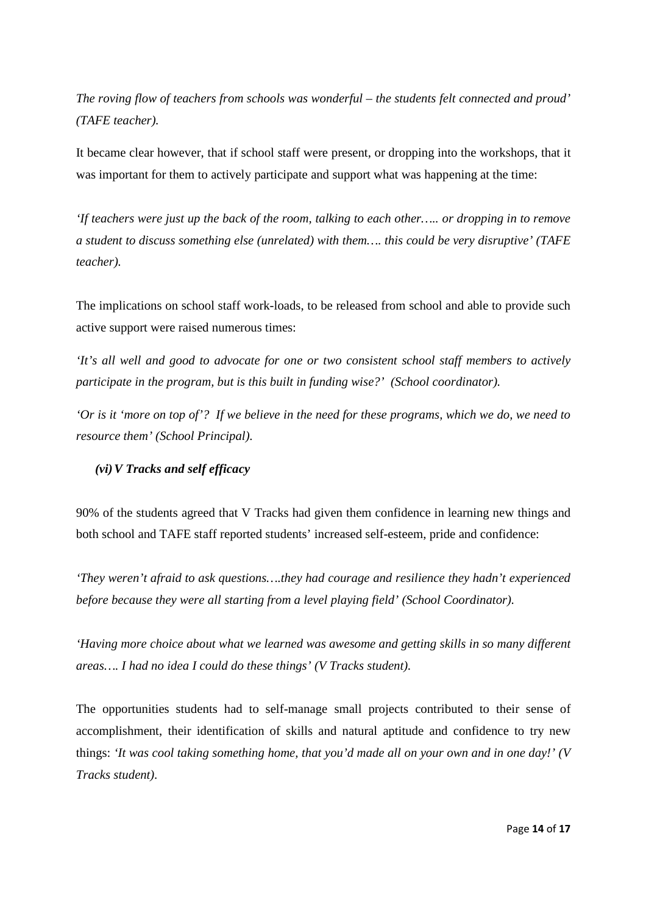*The roving flow of teachers from schools was wonderful – the students felt connected and proud' (TAFE teacher).* 

It became clear however, that if school staff were present, or dropping into the workshops, that it was important for them to actively participate and support what was happening at the time:

*'If teachers were just up the back of the room, talking to each other….. or dropping in to remove a student to discuss something else (unrelated) with them…. this could be very disruptive' (TAFE teacher).*

The implications on school staff work-loads, to be released from school and able to provide such active support were raised numerous times:

*'It's all well and good to advocate for one or two consistent school staff members to actively participate in the program, but is this built in funding wise?' (School coordinator).* 

*'Or is it 'more on top of'? If we believe in the need for these programs, which we do, we need to resource them' (School Principal).*

## *(vi)V Tracks and self efficacy*

90% of the students agreed that V Tracks had given them confidence in learning new things and both school and TAFE staff reported students' increased self-esteem, pride and confidence:

*'They weren't afraid to ask questions….they had courage and resilience they hadn't experienced before because they were all starting from a level playing field' (School Coordinator).* 

*'Having more choice about what we learned was awesome and getting skills in so many different areas…. I had no idea I could do these things' (V Tracks student).* 

The opportunities students had to self-manage small projects contributed to their sense of accomplishment, their identification of skills and natural aptitude and confidence to try new things: *'It was cool taking something home, that you'd made all on your own and in one day!' (V Tracks student).*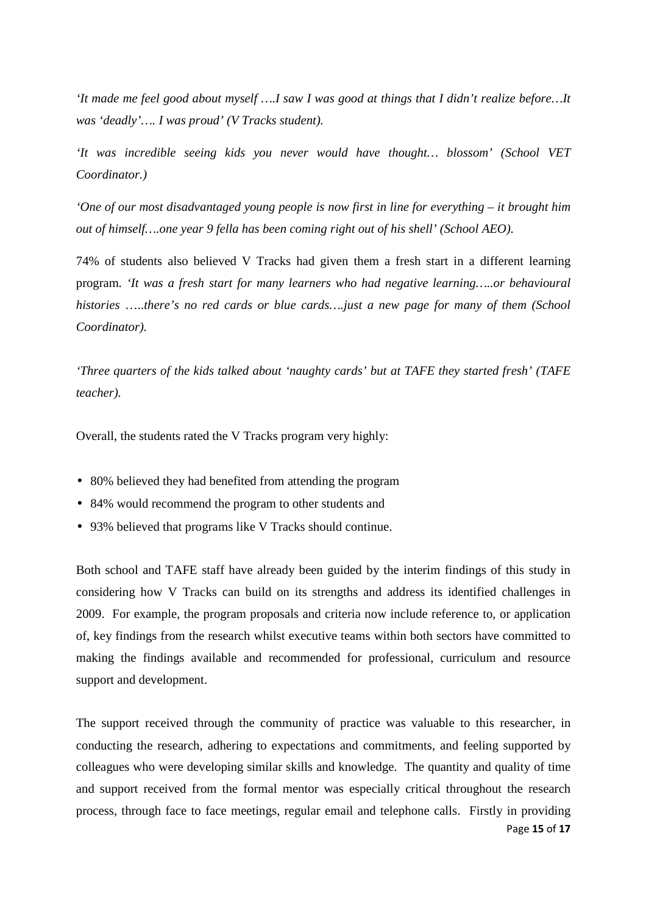*'It made me feel good about myself ….I saw I was good at things that I didn't realize before…It was 'deadly'…. I was proud' (V Tracks student).* 

*'It was incredible seeing kids you never would have thought… blossom' (School VET Coordinator.)* 

*'One of our most disadvantaged young people is now first in line for everything – it brought him out of himself….one year 9 fella has been coming right out of his shell' (School AEO).*

74% of students also believed V Tracks had given them a fresh start in a different learning program*. 'It was a fresh start for many learners who had negative learning…..or behavioural histories* …..*there's no red cards or blue cards….just a new page for many of them (School Coordinator).* 

*'Three quarters of the kids talked about 'naughty cards' but at TAFE they started fresh' (TAFE teacher).* 

Overall, the students rated the V Tracks program very highly:

- 80% believed they had benefited from attending the program
- 84% would recommend the program to other students and
- 93% believed that programs like V Tracks should continue.

Both school and TAFE staff have already been guided by the interim findings of this study in considering how V Tracks can build on its strengths and address its identified challenges in 2009. For example, the program proposals and criteria now include reference to, or application of, key findings from the research whilst executive teams within both sectors have committed to making the findings available and recommended for professional, curriculum and resource support and development.

Page 15 of 17 The support received through the community of practice was valuable to this researcher, in conducting the research, adhering to expectations and commitments, and feeling supported by colleagues who were developing similar skills and knowledge. The quantity and quality of time and support received from the formal mentor was especially critical throughout the research process, through face to face meetings, regular email and telephone calls. Firstly in providing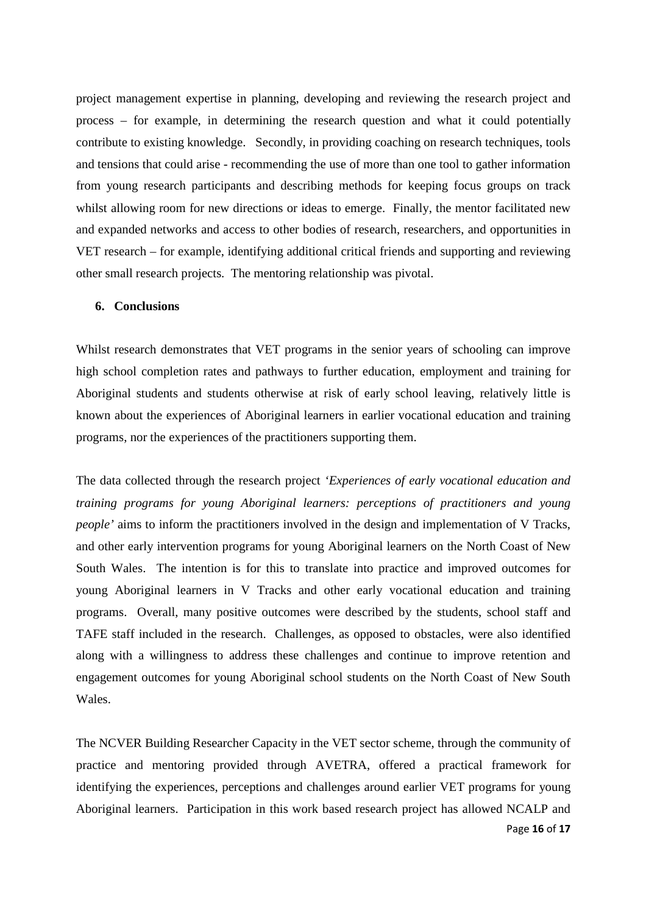project management expertise in planning, developing and reviewing the research project and process – for example, in determining the research question and what it could potentially contribute to existing knowledge. Secondly, in providing coaching on research techniques, tools and tensions that could arise - recommending the use of more than one tool to gather information from young research participants and describing methods for keeping focus groups on track whilst allowing room for new directions or ideas to emerge. Finally, the mentor facilitated new and expanded networks and access to other bodies of research, researchers, and opportunities in VET research – for example, identifying additional critical friends and supporting and reviewing other small research projects. The mentoring relationship was pivotal.

## **6. Conclusions**

Whilst research demonstrates that VET programs in the senior years of schooling can improve high school completion rates and pathways to further education, employment and training for Aboriginal students and students otherwise at risk of early school leaving, relatively little is known about the experiences of Aboriginal learners in earlier vocational education and training programs, nor the experiences of the practitioners supporting them.

The data collected through the research project *'Experiences of early vocational education and training programs for young Aboriginal learners: perceptions of practitioners and young people'* aims to inform the practitioners involved in the design and implementation of V Tracks, and other early intervention programs for young Aboriginal learners on the North Coast of New South Wales. The intention is for this to translate into practice and improved outcomes for young Aboriginal learners in V Tracks and other early vocational education and training programs. Overall, many positive outcomes were described by the students, school staff and TAFE staff included in the research. Challenges, as opposed to obstacles, were also identified along with a willingness to address these challenges and continue to improve retention and engagement outcomes for young Aboriginal school students on the North Coast of New South Wales.

Page 16 of 17 The NCVER Building Researcher Capacity in the VET sector scheme, through the community of practice and mentoring provided through AVETRA, offered a practical framework for identifying the experiences, perceptions and challenges around earlier VET programs for young Aboriginal learners. Participation in this work based research project has allowed NCALP and